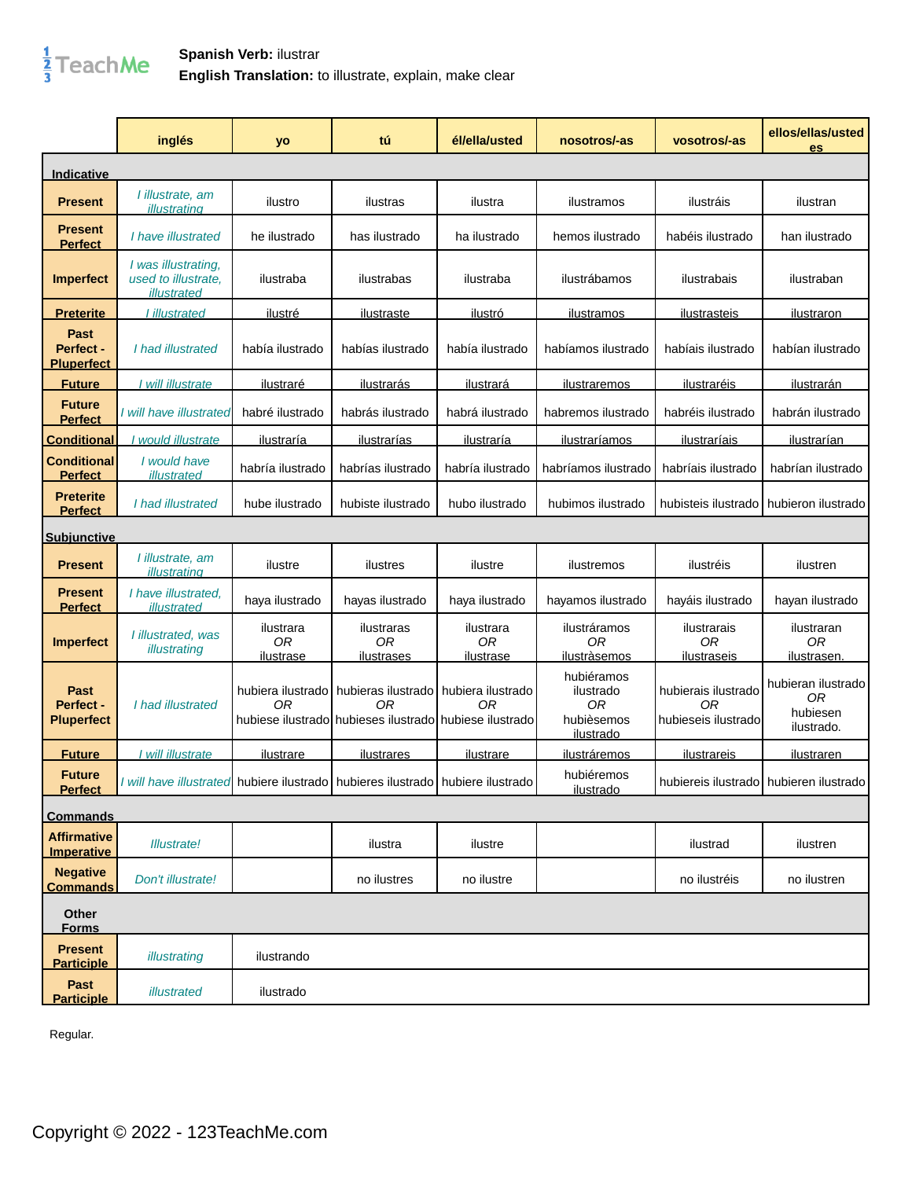## $\frac{1}{3}$ TeachMe

## **Spanish Verb:** ilustrar **English Translation:** to illustrate, explain, make clear

|                                         | inglés                                                                         | yo                                  | tú                                                                                                   | él/ella/usted                       | nosotros/-as                                                         | vosotros/-as                                     | ellos/ellas/usted<br>es                                        |
|-----------------------------------------|--------------------------------------------------------------------------------|-------------------------------------|------------------------------------------------------------------------------------------------------|-------------------------------------|----------------------------------------------------------------------|--------------------------------------------------|----------------------------------------------------------------|
| Indicative                              |                                                                                |                                     |                                                                                                      |                                     |                                                                      |                                                  |                                                                |
| <b>Present</b>                          | I illustrate, am<br>illustrating                                               | ilustro                             | ilustras                                                                                             | ilustra                             | ilustramos                                                           | ilustráis                                        | ilustran                                                       |
| <b>Present</b><br><b>Perfect</b>        | I have illustrated                                                             | he ilustrado                        | has ilustrado                                                                                        | ha ilustrado                        | hemos ilustrado                                                      | habéis ilustrado                                 | han ilustrado                                                  |
| <b>Imperfect</b>                        | I was illustrating,<br>used to illustrate.<br>illustrated                      | ilustraba                           | ilustrabas                                                                                           | ilustraba                           | ilustrábamos                                                         | ilustrabais                                      | ilustraban                                                     |
| <b>Preterite</b>                        | I illustrated                                                                  | ilustré                             | ilustraste                                                                                           | <u>ilustró</u>                      | ilustramos                                                           | <u>ilustrasteis</u>                              | <u>ilustraron</u>                                              |
| Past<br>Perfect -<br><b>Pluperfect</b>  | I had illustrated                                                              | había ilustrado                     | habías ilustrado                                                                                     | había ilustrado                     | habíamos ilustrado                                                   | habíais ilustrado                                | habían ilustrado                                               |
| <b>Future</b>                           | I will illustrate                                                              | ilustraré                           | ilustrarás                                                                                           | ilustrará                           | ilustraremos                                                         | ilustraréis                                      | ilustrarán                                                     |
| <b>Future</b><br><b>Perfect</b>         | I will have illustrated                                                        | habré ilustrado                     | habrás ilustrado                                                                                     | habrá ilustrado                     | habremos ilustrado                                                   | habréis ilustrado                                | habrán ilustrado                                               |
| <b>Conditional</b>                      | would illustrate                                                               | <i>ilustraría</i>                   | ilustrarías                                                                                          | ilustraría                          | ilustraríamos                                                        | <i>ilustraríais</i>                              | <i>ilustrarían</i>                                             |
| <b>Conditional</b><br><b>Perfect</b>    | I would have<br>illustrated                                                    | habría ilustrado                    | habrías ilustrado                                                                                    | habría ilustrado                    | habríamos ilustrado                                                  | habríais ilustrado                               | habrían ilustrado                                              |
| <b>Preterite</b><br><b>Perfect</b>      | I had illustrated                                                              | hube ilustrado                      | hubiste ilustrado                                                                                    | hubo ilustrado                      | hubimos ilustrado                                                    | hubisteis ilustrado                              | hubieron ilustrado                                             |
| <b>Subjunctive</b>                      |                                                                                |                                     |                                                                                                      |                                     |                                                                      |                                                  |                                                                |
| <b>Present</b>                          | I illustrate, am<br>illustrating                                               | ilustre                             | ilustres                                                                                             | ilustre                             | ilustremos                                                           | ilustréis                                        | ilustren                                                       |
| <b>Present</b><br><b>Perfect</b>        | I have illustrated.<br>illustrated                                             | haya ilustrado                      | hayas ilustrado                                                                                      | haya ilustrado                      | hayamos ilustrado                                                    | hayáis ilustrado                                 | hayan ilustrado                                                |
| <b>Imperfect</b>                        | I illustrated, was<br>illustrating                                             | ilustrara<br>0R<br><u>ilustrase</u> | ilustraras<br>0R<br><u>ilustrases</u>                                                                | ilustrara<br>0R<br><u>ilustrase</u> | ilustráramos<br>0R<br>ilustràsemos                                   | ilustrarais<br>0R<br>ilustraseis                 | ilustraran<br>0R<br>ilustrasen                                 |
| Past<br>Perfect -<br><b>Pluperfect</b>  | I had illustrated                                                              | hubiera ilustrado l<br>0R           | hubieras ilustrado hubiera ilustrado<br>0R<br>hubiese ilustrado hubieses ilustrado hubiese ilustrado | 0R                                  | hubiéramos<br>ilustrado<br>0 <sub>R</sub><br>hubièsemos<br>ilustrado | hubierais ilustrado<br>0R<br>hubieseis ilustrado | hubieran ilustrado<br>0 <sub>R</sub><br>hubiesen<br>ilustrado. |
| <b>Future</b>                           | will illustrate                                                                | <u>ilustrare</u>                    | <u>ilustrares</u>                                                                                    | ilustrare                           | <i>ilustráremos</i>                                                  | ilustrareis                                      | <u>ilustraren</u>                                              |
| <b>Future</b><br><b>Perfect</b>         | I will have illustrated hubiere ilustrado hubieres ilustrado hubiere ilustrado |                                     |                                                                                                      |                                     | hubiéremos<br>ilustrado                                              | hubiereis ilustrado hubieren ilustrado           |                                                                |
| <b>Commands</b>                         |                                                                                |                                     |                                                                                                      |                                     |                                                                      |                                                  |                                                                |
| <b>Affirmative</b><br><b>Imperative</b> | <b>Illustrate!</b>                                                             |                                     | ilustra                                                                                              | ilustre                             |                                                                      | ilustrad                                         | ilustren                                                       |
| <b>Negative</b><br><b>Commands</b>      | Don't illustrate!                                                              |                                     | no ilustres                                                                                          | no ilustre                          |                                                                      | no ilustréis                                     | no ilustren                                                    |
| Other<br><u>Forms</u>                   |                                                                                |                                     |                                                                                                      |                                     |                                                                      |                                                  |                                                                |
| <b>Present</b><br><b>Participle</b>     | illustrating                                                                   | ilustrando                          |                                                                                                      |                                     |                                                                      |                                                  |                                                                |
| Past<br><b>Participle</b>               | illustrated                                                                    | ilustrado                           |                                                                                                      |                                     |                                                                      |                                                  |                                                                |

Regular.